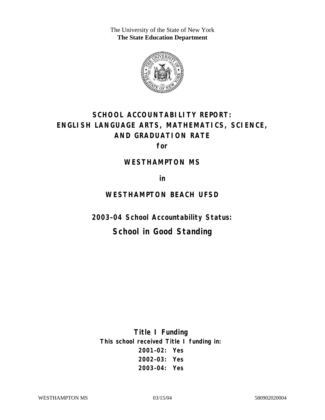The University of the State of New York **The State Education Department** 



# **SCHOOL ACCOUNTABILITY REPORT: ENGLISH LANGUAGE ARTS, MATHEMATICS, SCIENCE, AND GRADUATION RATE**

**for** 

#### **WESTHAMPTON MS**

**in** 

## **WESTHAMPTON BEACH UFSD**

**2003–04 School Accountability Status:** 

## **School in Good Standing**

**Title I Funding This school received Title I funding in: 2001–02: Yes 2002–03: Yes 2003–04: Yes**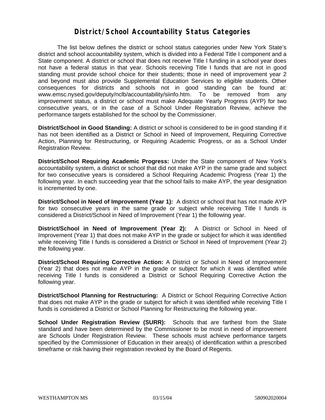### **District/School Accountability Status Categories**

The list below defines the district or school status categories under New York State's district and school accountability system, which is divided into a Federal Title I component and a State component. A district or school that does not receive Title I funding in a school year does not have a federal status in that year. Schools receiving Title I funds that are not in good standing must provide school choice for their students; those in need of improvement year 2 and beyond must also provide Supplemental Education Services to eligible students. Other consequences for districts and schools not in good standing can be found at: www.emsc.nysed.gov/deputy/nclb/accountability/siinfo.htm. To be removed from any improvement status, a district or school must make Adequate Yearly Progress (AYP) for two consecutive years, or in the case of a School Under Registration Review, achieve the performance targets established for the school by the Commissioner.

**District/School in Good Standing:** A district or school is considered to be in good standing if it has not been identified as a District or School in Need of Improvement, Requiring Corrective Action, Planning for Restructuring, or Requiring Academic Progress, or as a School Under Registration Review.

**District/School Requiring Academic Progress:** Under the State component of New York's accountability system, a district or school that did not make AYP in the same grade and subject for two consecutive years is considered a School Requiring Academic Progress (Year 1) the following year. In each succeeding year that the school fails to make AYP, the year designation is incremented by one.

**District/School in Need of Improvement (Year 1):** A district or school that has not made AYP for two consecutive years in the same grade or subject while receiving Title I funds is considered a District/School in Need of Improvement (Year 1) the following year.

**District/School in Need of Improvement (Year 2):** A District or School in Need of Improvement (Year 1) that does not make AYP in the grade or subject for which it was identified while receiving Title I funds is considered a District or School in Need of Improvement (Year 2) the following year.

**District/School Requiring Corrective Action:** A District or School in Need of Improvement (Year 2) that does not make AYP in the grade or subject for which it was identified while receiving Title I funds is considered a District or School Requiring Corrective Action the following year.

**District/School Planning for Restructuring:** A District or School Requiring Corrective Action that does not make AYP in the grade or subject for which it was identified while receiving Title I funds is considered a District or School Planning for Restructuring the following year.

**School Under Registration Review (SURR):** Schools that are farthest from the State standard and have been determined by the Commissioner to be most in need of improvement are Schools Under Registration Review. These schools must achieve performance targets specified by the Commissioner of Education in their area(s) of identification within a prescribed timeframe or risk having their registration revoked by the Board of Regents.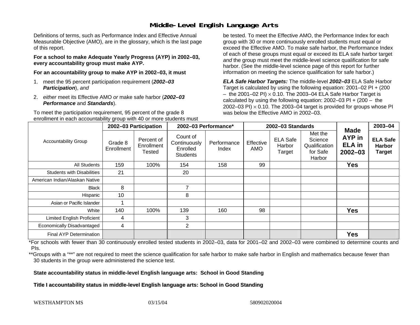## **Middle-Level English Language Arts**

Definitions of terms, such as Performance Index and Effective Annual Measurable Objective (AMO), are in the glossary, which is the last page of this report.

**For a school to make Adequate Yearly Progress (AYP) in 2002–03, every accountability group must make AYP.** 

**For an accountability group to make AYP in 2002–03, it must** 

- 1. meet the 95 percent participation requirement (*2002–03 Participation*), *and*
- 2. *either* meet its Effective AMO *or* make safe harbor (*2002–03 Performance* and *Standards*).

To meet the participation requirement, 95 percent of the grade 8 enrollment in each accountability group with 40 or more students must

be tested. To meet the Effective AMO, the Performance Index for each group with 30 or more continuously enrolled students must equal or exceed the Effective AMO. To make safe harbor, the Performance Index of each of these groups must equal or exceed its ELA safe harbor target *and* the group must meet the middle-level science qualification for safe harbor. (See the middle-level science page of this report for further information on meeting the science qualification for safe harbor.)

*ELA Safe Harbor Targets:* The middle-level *2002–03* ELA Safe Harbor Target is calculated by using the following equation: 2001–02 PI + (200  $-$  the 2001–02 PI)  $\times$  0.10. The 2003–04 ELA Safe Harbor Target is  $\,$ calculated by using the following equation:  $2002-03$  PI +  $(200 -$  the 2002–03 PI)  $\times$  0.10. The 2003–04 target is provided for groups whose PI was below the Effective AMO in 2002–03.

| <b>Accountability Group</b>       | 2002-03 Participation |                                    | 2002-03 Performance*                                    |                      | 2002-03 Standards |                                     |                                                           |                                                              | 2003-04                                           |
|-----------------------------------|-----------------------|------------------------------------|---------------------------------------------------------|----------------------|-------------------|-------------------------------------|-----------------------------------------------------------|--------------------------------------------------------------|---------------------------------------------------|
|                                   | Grade 8<br>Enrollment | Percent of<br>Enrollment<br>Tested | Count of<br>Continuously<br>Enrolled<br><b>Students</b> | Performance<br>Index | Effective<br>AMO  | <b>ELA Safe</b><br>Harbor<br>Target | Met the<br>Science<br>Qualification<br>for Safe<br>Harbor | <b>Made</b><br><b>AYP</b> in<br><b>ELA in</b><br>$2002 - 03$ | <b>ELA Safe</b><br><b>Harbor</b><br><b>Target</b> |
| All Students                      | 159                   | 100%                               | 154                                                     | 158                  | 99                |                                     |                                                           | <b>Yes</b>                                                   |                                                   |
| <b>Students with Disabilities</b> | 21                    |                                    | 20                                                      |                      |                   |                                     |                                                           |                                                              |                                                   |
| American Indian/Alaskan Native    |                       |                                    |                                                         |                      |                   |                                     |                                                           |                                                              |                                                   |
| <b>Black</b>                      | 8                     |                                    | 7                                                       |                      |                   |                                     |                                                           |                                                              |                                                   |
| Hispanic                          | 10                    |                                    | 8                                                       |                      |                   |                                     |                                                           |                                                              |                                                   |
| Asian or Pacific Islander         |                       |                                    |                                                         |                      |                   |                                     |                                                           |                                                              |                                                   |
| White                             | 140                   | 100%                               | 139                                                     | 160                  | 98                |                                     |                                                           | <b>Yes</b>                                                   |                                                   |
| Limited English Proficient        | 4                     |                                    | 3                                                       |                      |                   |                                     |                                                           |                                                              |                                                   |
| Economically Disadvantaged        | 4                     |                                    | 2                                                       |                      |                   |                                     |                                                           |                                                              |                                                   |
| <b>Final AYP Determination</b>    |                       |                                    |                                                         |                      |                   |                                     |                                                           | <b>Yes</b>                                                   |                                                   |

\*For schools with fewer than 30 continuously enrolled tested students in 2002–03, data for 2001–02 and 2002–03 were combined to determine counts and PIs.

\*\*Groups with a "\*\*" are not required to meet the science qualification for safe harbor to make safe harbor in English and mathematics because fewer than 30 students in the group were administered the science test.

**State accountability status in middle-level English language arts: School in Good Standing** 

Title I accountability status in middle-level English language arts: School in Good Standing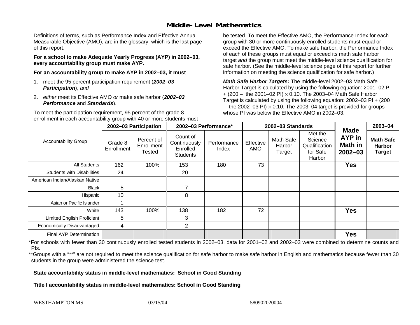## **Middle-Level Mathematics**

Definitions of terms, such as Performance Index and Effective Annual Measurable Objective (AMO), are in the glossary, which is the last page of this report.

**For a school to make Adequate Yearly Progress (AYP) in 2002–03, every accountability group must make AYP.** 

**For an accountability group to make AYP in 2002–03, it must** 

- 1. meet the 95 percent participation requirement (*2002–03 Participation*), *and*
- 2. *either* meet its Effective AMO *or* make safe harbor (*2002–03 Performance* and *Standards*).

To meet the participation requirement, 95 percent of the grade 8 enrollment in each accountability group with 40 or more students must be tested. To meet the Effective AMO, the Performance Index for each group with 30 or more continuously enrolled students must equal or exceed the Effective AMO. To make safe harbor, the Performance Index of each of these groups must equal or exceed its math safe harbor target *and* the group must meet the middle-level science qualification for safe harbor. (See the middle-level science page of this report for further information on meeting the science qualification for safe harbor.)

*Math Safe Harbor Targets:* The middle-level 2002–03 Math Safe Harbor Target is calculated by using the following equation: 2001–02 PI + (200 – the 2001–02 PI) × 0.10. The 2003–04 Math Safe Harbor Target is calculated by using the following equation: 2002–03 PI + (200  $-$  the 2002–03 PI)  $\times$  0.10. The 2003–04 target is provided for groups whose PI was below the Effective AMO in 2002–03

| <b>Accountability Group</b>       | 2002-03 Participation |                                    | 2002-03 Performance*                                    |                      | 2002-03 Standards       |                               |                                                           |                                                        | 2003-04                                            |
|-----------------------------------|-----------------------|------------------------------------|---------------------------------------------------------|----------------------|-------------------------|-------------------------------|-----------------------------------------------------------|--------------------------------------------------------|----------------------------------------------------|
|                                   | Grade 8<br>Enrollment | Percent of<br>Enrollment<br>Tested | Count of<br>Continuously<br>Enrolled<br><b>Students</b> | Performance<br>Index | Effective<br><b>AMO</b> | Math Safe<br>Harbor<br>Target | Met the<br>Science<br>Qualification<br>for Safe<br>Harbor | <b>Made</b><br>AYP in<br><b>Math in</b><br>$2002 - 03$ | <b>Math Safe</b><br><b>Harbor</b><br><b>Target</b> |
| All Students                      | 162                   | 100%                               | 153                                                     | 180                  | 73                      |                               |                                                           | <b>Yes</b>                                             |                                                    |
| <b>Students with Disabilities</b> | 24                    |                                    | 20                                                      |                      |                         |                               |                                                           |                                                        |                                                    |
| American Indian/Alaskan Native    |                       |                                    |                                                         |                      |                         |                               |                                                           |                                                        |                                                    |
| <b>Black</b>                      | 8                     |                                    | 7                                                       |                      |                         |                               |                                                           |                                                        |                                                    |
| Hispanic                          | 10                    |                                    | 8                                                       |                      |                         |                               |                                                           |                                                        |                                                    |
| Asian or Pacific Islander         |                       |                                    |                                                         |                      |                         |                               |                                                           |                                                        |                                                    |
| White                             | 143                   | 100%                               | 138                                                     | 182                  | 72                      |                               |                                                           | <b>Yes</b>                                             |                                                    |
| <b>Limited English Proficient</b> | 5                     |                                    | 3                                                       |                      |                         |                               |                                                           |                                                        |                                                    |
| Economically Disadvantaged        | 4                     |                                    | $\overline{2}$                                          |                      |                         |                               |                                                           |                                                        |                                                    |
| <b>Final AYP Determination</b>    |                       |                                    |                                                         |                      |                         |                               |                                                           | <b>Yes</b>                                             |                                                    |

\*For schools with fewer than 30 continuously enrolled tested students in 2002–03, data for 2001–02 and 2002–03 were combined to determine counts and PIs.

\*\*Groups with a "\*\*" are not required to meet the science qualification for safe harbor to make safe harbor in English and mathematics because fewer than 30 students in the group were administered the science test.

**State accountability status in middle-level mathematics: School in Good Standing** 

Title I accountability status in middle-level mathematics: School in Good Standing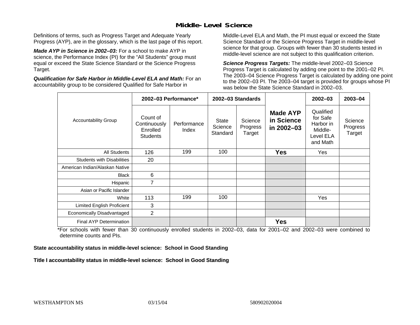## **Middle-Level Science**

Definitions of terms, such as Progress Target and Adequate Yearly Progress (AYP), are in the glossary, which is the last page of this report.

*Made AYP in Science in 2002–03:* For a school to make AYP in science, the Performance Index (PI) for the "All Students" group must equal or exceed the State Science Standard or the Science Progress Target.

*Qualification for Safe Harbor in Middle-Level ELA and Math:* For an accountability group to be considered Qualified for Safe Harbor in

Middle-Level ELA and Math, the PI must equal or exceed the State Science Standard or the Science Progress Target in middle-level science for that group. Groups with fewer than 30 students tested in middle-level science are not subject to this qualification criterion.

*Science Progress Targets:* The middle-level 2002–03 Science Progress Target is calculated by adding one point to the 2001–02 PI. The 2003–04 Science Progress Target is calculated by adding one point to the 2002–03 PI. The 2003–04 target is provided for groups whose PI was below the State Science Standard in 2002–03.

|                                   |                                                         | 2002-03 Performance* |                                     | 2002-03 Standards             |                                             | $2002 - 03$                                                            | $2003 - 04$                   |
|-----------------------------------|---------------------------------------------------------|----------------------|-------------------------------------|-------------------------------|---------------------------------------------|------------------------------------------------------------------------|-------------------------------|
| <b>Accountability Group</b>       | Count of<br>Continuously<br>Enrolled<br><b>Students</b> | Performance<br>Index | <b>State</b><br>Science<br>Standard | Science<br>Progress<br>Target | <b>Made AYP</b><br>in Science<br>in 2002-03 | Qualified<br>for Safe<br>Harbor in<br>Middle-<br>Level ELA<br>and Math | Science<br>Progress<br>Target |
| <b>All Students</b>               | 126                                                     | 199                  | 100                                 |                               | <b>Yes</b>                                  | Yes                                                                    |                               |
| <b>Students with Disabilities</b> | 20                                                      |                      |                                     |                               |                                             |                                                                        |                               |
| American Indian/Alaskan Native    |                                                         |                      |                                     |                               |                                             |                                                                        |                               |
| <b>Black</b>                      | 6                                                       |                      |                                     |                               |                                             |                                                                        |                               |
| Hispanic                          | 7                                                       |                      |                                     |                               |                                             |                                                                        |                               |
| Asian or Pacific Islander         |                                                         |                      |                                     |                               |                                             |                                                                        |                               |
| White                             | 113                                                     | 199                  | 100                                 |                               |                                             | Yes                                                                    |                               |
| Limited English Proficient        | 3                                                       |                      |                                     |                               |                                             |                                                                        |                               |
| Economically Disadvantaged        | 2                                                       |                      |                                     |                               |                                             |                                                                        |                               |
| Final AYP Determination           |                                                         |                      |                                     |                               | <b>Yes</b>                                  |                                                                        |                               |

\*For schools with fewer than 30 continuously enrolled students in 2002–03, data for 2001–02 and 2002–03 were combined to determine counts and PIs.

**State accountability status in middle-level science: School in Good Standing** 

Title I accountability status in middle-level science: School in Good Standing